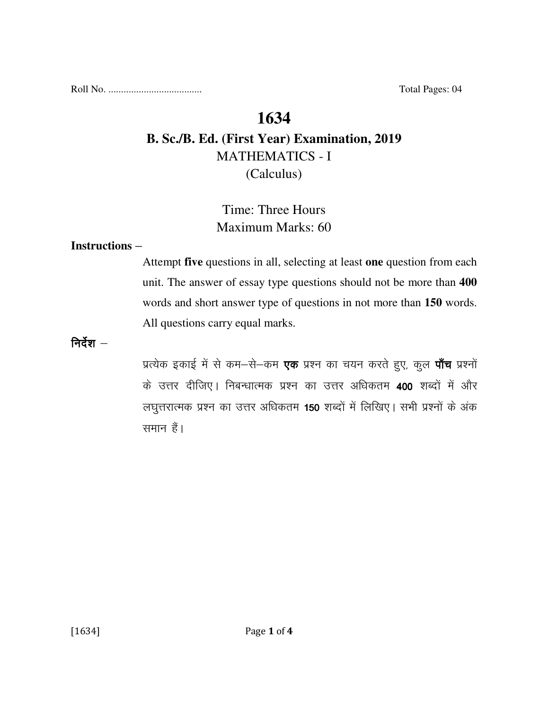Roll No. ..................................... Total Pages: 04

## **1634**

# **B. Sc./B. Ed. (First Year) Examination, 2019**  MATHEMATICS - I (Calculus)

# Time: Three Hours Maximum Marks: 60

### **Instructions** –

Attempt **five** questions in all, selecting at least **one** question from each unit. The answer of essay type questions should not be more than **400** words and short answer type of questions in not more than **150** words. All questions carry equal marks.

निर्देश $-$ 

प्रत्येक इकाई में से कम-से-कम **एक** प्रश्न का चयन करते हुए, कुल **पाँच** प्रश्नों के उत्तर दीजिए। निबन्धात्मक प्रश्न का उत्तर अधिकतम 400 शब्दों में और लघुत्तरात्मक प्रश्न का उत्तर अधिकतम 150 शब्दों में लिखिए। सभी प्रश्नों के अंक समान हैं।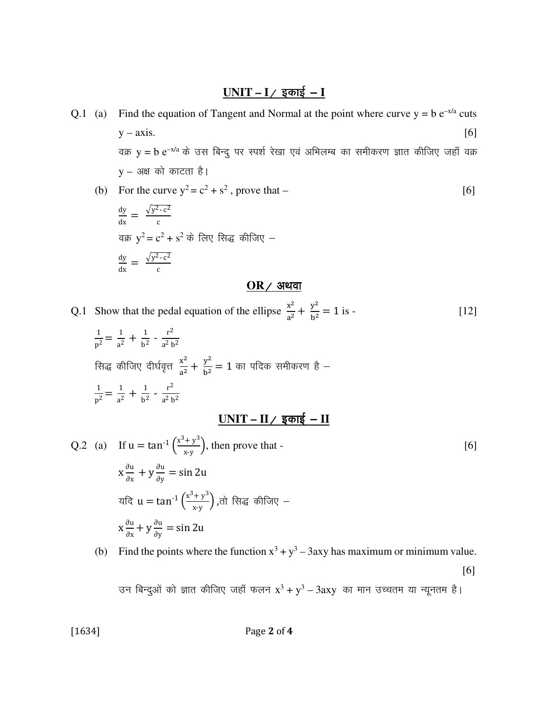## $UNIT - I /$  इकाई - **I**

- Q.1 (a) Find the equation of Tangent and Normal at the point where curve  $y = b e^{-x/a}$  cuts  $y - axis.$  [6] वक्र  $y = b e^{-x/a}$  के उस बिन्दु पर स्पर्श रेखा एवं अभिलम्ब का समीकरण ज्ञात कीजिए जहाँ वक्र  $y - 3$ क्ष को काटता है।
	- (b) For the curve  $y^2 = c^2 + s^2$ , prove that [6]

$$
\frac{dy}{dx} = \frac{\sqrt{y^2 - c^2}}{c}
$$
\n
$$
\frac{dy}{dx} = \frac{\sqrt{y^2 - c^2}}{c}
$$
\n
$$
\frac{dy}{dx} = \frac{\sqrt{y^2 - c^2}}{c}
$$

### $OR$ / अथवा

Q.1 Show that the pedal equation of the ellipse  $\frac{x^2}{a^2}$  $\frac{x^2}{a^2} + \frac{y^2}{b^2}$  $\frac{y}{b^2} = 1$  is - [12]

$$
\frac{1}{p^2} = \frac{1}{a^2} + \frac{1}{b^2} - \frac{r^2}{a^2 b^2}
$$
\nसिद्ध कीजिए दीर्घवृत्त 
$$
\frac{x^2}{a^2} + \frac{y^2}{b^2} = 1
$$
 का पदिक समीकरण है -  
\n
$$
\frac{1}{p^2} = \frac{1}{a^2} + \frac{1}{b^2} - \frac{r^2}{a^2 b^2}
$$

# $UNIT - II /$  इकाई - **II**</u>

Q.2 (a) If 
$$
u = \tan^{-1} \left( \frac{x^3 + y^3}{x - y} \right)
$$
, then prove that -  
\n $x \frac{\partial u}{\partial x} + y \frac{\partial u}{\partial y} = \sin 2u$   
\n $\text{Var} \left( \frac{x^3 + y^3}{x - y} \right)$ , and  $\text{Var} \left( \frac{x^3 + y^3}{x - y} \right)$ , and  $\text{Var} \left( \frac{x^3 + y^3}{x - y} \right)$ , and  $\text{Var} \left( \frac{x^3 + y^3}{x - y} \right)$ .

(b) Find the points where the function  $x^3 + y^3 - 3axy$  has maximum or minimum value.

[6]

उन बिन्दुओं को ज्ञात कीजिए जहाँ फलन  $\mathrm{x}^3 + \mathrm{y}^3 - 3 \mathrm{axy}$  का मान उच्चतम या न्यूनतम है।

[1634] **Page 2 of 4**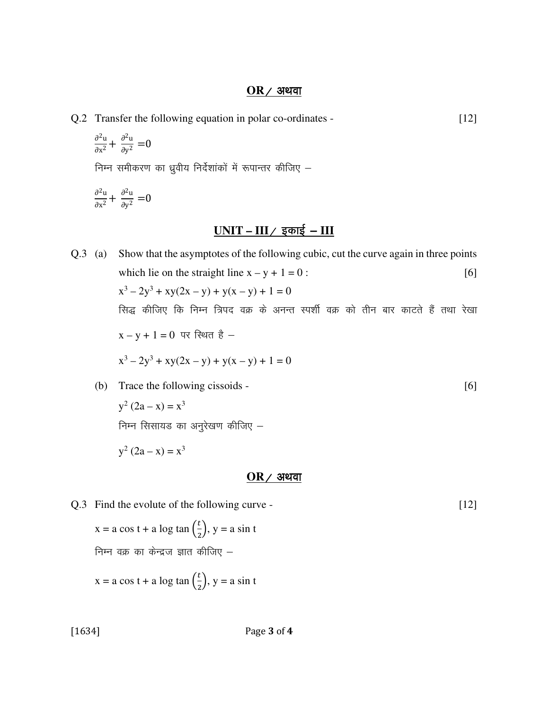#### $OR$  / अथवा

Q.2 Transfer the following equation in polar co-ordinates - [12]

$$
\frac{\partial^2 u}{\partial x^2} + \frac{\partial^2 u}{\partial y^2} = 0
$$

निम्न समीकरण का ध्रुवीय निर्देशांकों में रूपान्तर कीजिए  $-$ 

$$
\frac{\partial^2 u}{\partial x^2} + \frac{\partial^2 u}{\partial y^2} = 0
$$

### $UNIT - III /$  इकाई – III

Q.3 (a) Show that the asymptotes of the following cubic, cut the curve again in three points which lie on the straight line  $x - y + 1 = 0$ : [6]  $x^3 - 2y^3 + xy(2x - y) + y(x - y) + 1 = 0$ सिद्ध कीजिए कि निम्न त्रिपद वक्र के अनन्त स्पर्शी वक्र को तीन बार काटते हैं तथा रेखा  $x - y + 1 = 0$  पर स्थित है –  $x^3 - 2y^3 + xy(2x - y) + y(x - y) + 1 = 0$ 

(b) Trace the following cissoids -  $[6]$ 

 $y^2 (2a - x) = x^3$ निम्न सिसायड का अनुरेखण कीजिए  $-$ 

 $y^2 (2a - x) = x^3$ 

#### $OR$  ⁄ अथवा

Q.3 Find the evolute of the following curve - [12]  $x = a \cos t + a \log \tan \left( \frac{t}{2} \right)$  $\frac{c}{2}$ , y = a sin t निम्न वक्र का केन्द्रज ज्ञात कीजिए  $$  $x = a \cos t + a \log \tan \left( \frac{t}{2} \right)$  $\frac{c}{2}$ , y = a sin t

[1634] **Page 3 of 4**